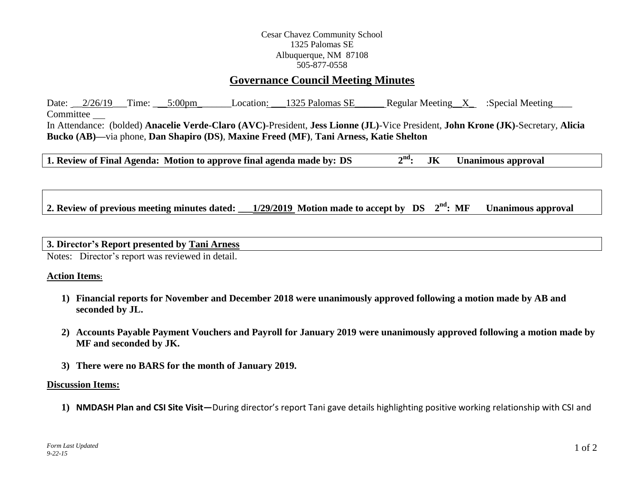## Cesar Chavez Community School 1325 Palomas SE Albuquerque, NM 87108 505-877-0558

# **Governance Council Meeting Minutes**

Date:  $2/26/19$  Time:  $5:00 \text{pm}$  Location:  $1325$  Palomas SE Regular Meeting X :Special Meeting Committee In Attendance: (bolded) **Anacelie Verde-Claro (AVC)**-President, **Jess Lionne (JL)**-Vice President, **John Krone (JK)**-Secretary, **Alicia Bucko (AB)—**via phone, **Dan Shapiro (DS)**, **Maxine Freed (MF)**, **Tani Arness, Katie Shelton**

**1. Review of Final Agenda:** Motion to approve final agenda made by:  $DS$   $2<sup>nd</sup>$ : **nd: JK Unanimous approval**

**2. Review of previous meeting minutes dated: \_\_\_1/29/2019 Motion made to accept by DS 2 Unanimous approval** 

#### **3. Director's Report presented by Tani Arness**

Notes: Director's report was reviewed in detail.

### **Action Items:**

- **1) Financial reports for November and December 2018 were unanimously approved following a motion made by AB and seconded by JL.**
- **2) Accounts Payable Payment Vouchers and Payroll for January 2019 were unanimously approved following a motion made by MF and seconded by JK.**
- **3) There were no BARS for the month of January 2019.**

#### **Discussion Items:**

**1) NMDASH Plan and CSI Site Visit—**During director's report Tani gave details highlighting positive working relationship with CSI and